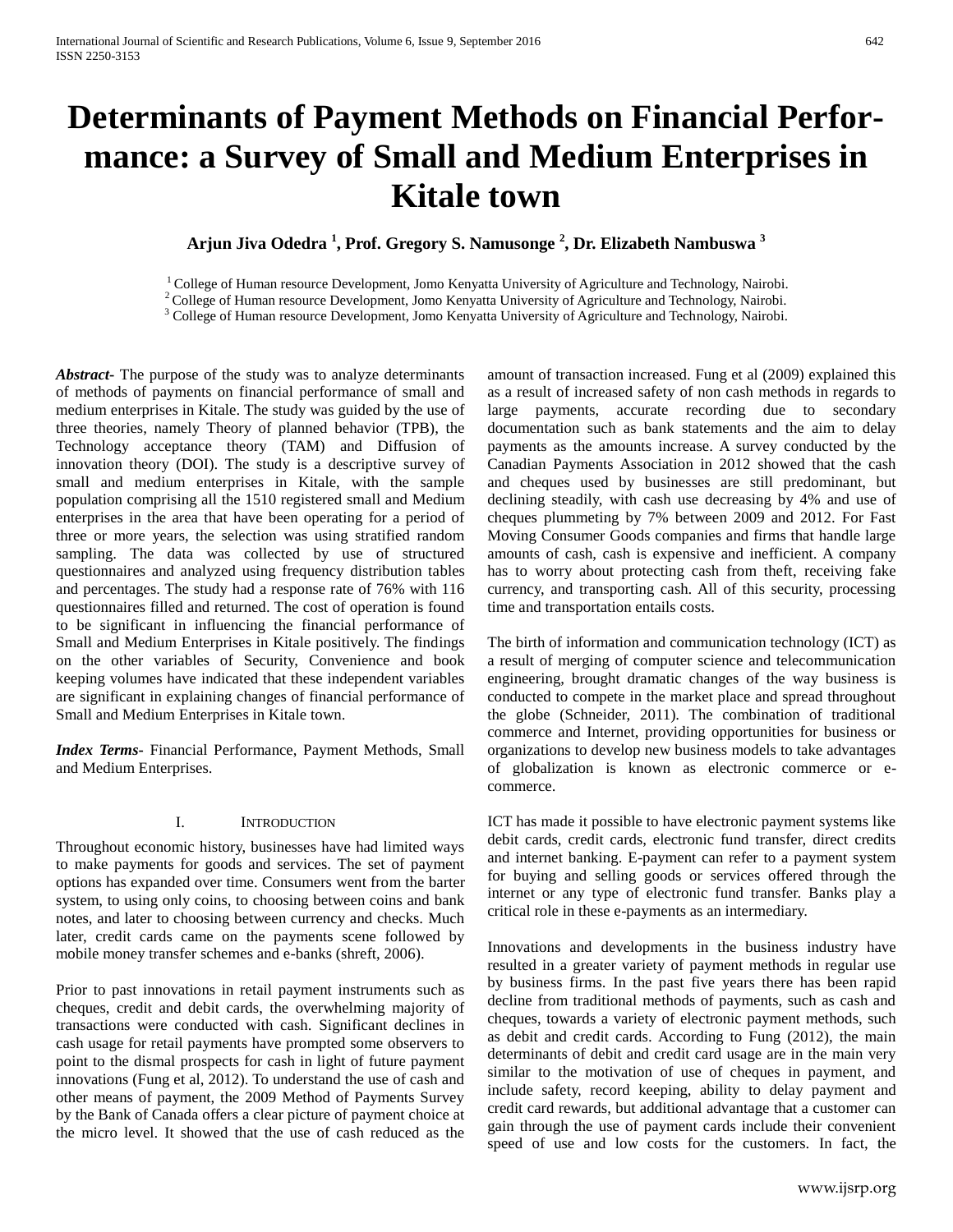# **Determinants of Payment Methods on Financial Performance: a Survey of Small and Medium Enterprises in Kitale town**

**Arjun Jiva Odedra <sup>1</sup> , Prof. Gregory S. Namusonge <sup>2</sup> , Dr. Elizabeth Nambuswa <sup>3</sup>**

<sup>1</sup> College of Human resource Development, Jomo Kenyatta University of Agriculture and Technology, Nairobi.  $2^2$ College of Human resource Development, Jomo Kenyatta University of Agriculture and Technology, Nairobi.

<sup>3</sup> College of Human resource Development, Jomo Kenyatta University of Agriculture and Technology, Nairobi.

*Abstract***-** The purpose of the study was to analyze determinants of methods of payments on financial performance of small and medium enterprises in Kitale. The study was guided by the use of three theories, namely Theory of planned behavior (TPB), the Technology acceptance theory (TAM) and Diffusion of innovation theory (DOI). The study is a descriptive survey of small and medium enterprises in Kitale, with the sample population comprising all the 1510 registered small and Medium enterprises in the area that have been operating for a period of three or more years, the selection was using stratified random sampling. The data was collected by use of structured questionnaires and analyzed using frequency distribution tables and percentages. The study had a response rate of 76% with 116 questionnaires filled and returned. The cost of operation is found to be significant in influencing the financial performance of Small and Medium Enterprises in Kitale positively. The findings on the other variables of Security, Convenience and book keeping volumes have indicated that these independent variables are significant in explaining changes of financial performance of Small and Medium Enterprises in Kitale town.

*Index Terms***-** Financial Performance, Payment Methods, Small and Medium Enterprises.

#### I. INTRODUCTION

Throughout economic history, businesses have had limited ways to make payments for goods and services. The set of payment options has expanded over time. Consumers went from the barter system, to using only coins, to choosing between coins and bank notes, and later to choosing between currency and checks. Much later, credit cards came on the payments scene followed by mobile money transfer schemes and e-banks (shreft, 2006).

Prior to past innovations in retail payment instruments such as cheques, credit and debit cards, the overwhelming majority of transactions were conducted with cash. Significant declines in cash usage for retail payments have prompted some observers to point to the dismal prospects for cash in light of future payment innovations (Fung et al, 2012). To understand the use of cash and other means of payment, the 2009 Method of Payments Survey by the Bank of Canada offers a clear picture of payment choice at the micro level. It showed that the use of cash reduced as the amount of transaction increased. Fung et al (2009) explained this as a result of increased safety of non cash methods in regards to large payments, accurate recording due to secondary documentation such as bank statements and the aim to delay payments as the amounts increase. A survey conducted by the Canadian Payments Association in 2012 showed that the cash and cheques used by businesses are still predominant, but declining steadily, with cash use decreasing by 4% and use of cheques plummeting by 7% between 2009 and 2012. For Fast Moving Consumer Goods companies and firms that handle large amounts of cash, cash is expensive and inefficient. A company has to worry about protecting cash from theft, receiving fake currency, and transporting cash. All of this security, processing time and transportation entails costs.

The birth of information and communication technology (ICT) as a result of merging of computer science and telecommunication engineering, brought dramatic changes of the way business is conducted to compete in the market place and spread throughout the globe (Schneider, 2011). The combination of traditional commerce and Internet, providing opportunities for business or organizations to develop new business models to take advantages of globalization is known as electronic commerce or ecommerce.

ICT has made it possible to have electronic payment systems like debit cards, credit cards, electronic fund transfer, direct credits and internet banking. E-payment can refer to a payment system for buying and selling goods or services offered through the internet or any type of electronic fund transfer. Banks play a critical role in these e-payments as an intermediary.

Innovations and developments in the business industry have resulted in a greater variety of payment methods in regular use by business firms. In the past five years there has been rapid decline from traditional methods of payments, such as cash and cheques, towards a variety of electronic payment methods, such as debit and credit cards. According to Fung (2012), the main determinants of debit and credit card usage are in the main very similar to the motivation of use of cheques in payment, and include safety, record keeping, ability to delay payment and credit card rewards, but additional advantage that a customer can gain through the use of payment cards include their convenient speed of use and low costs for the customers. In fact, the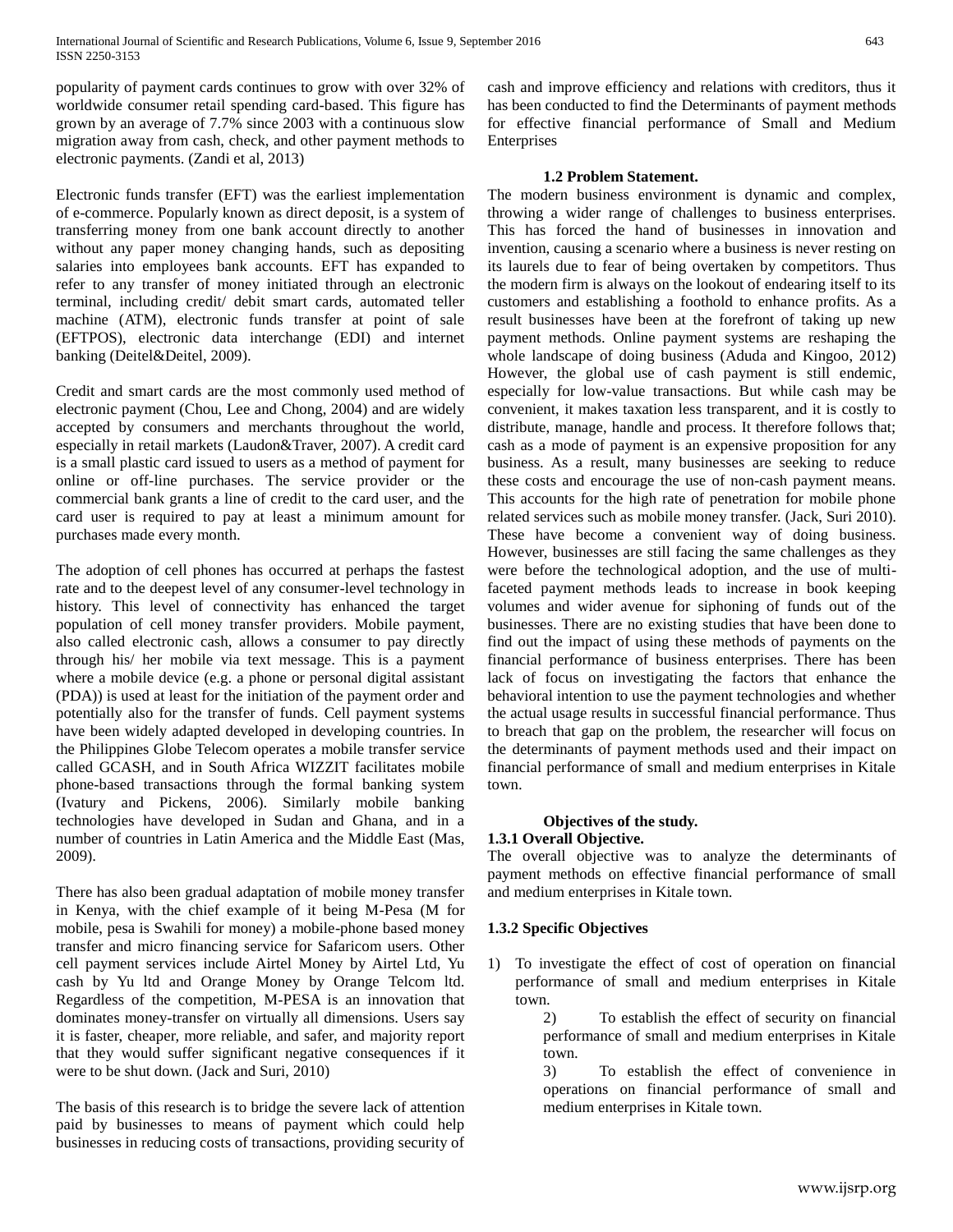popularity of payment cards continues to grow with over 32% of worldwide consumer retail spending card-based. This figure has grown by an average of 7.7% since 2003 with a continuous slow migration away from cash, check, and other payment methods to electronic payments. (Zandi et al, 2013)

Electronic funds transfer (EFT) was the earliest implementation of e-commerce. Popularly known as direct deposit, is a system of transferring money from one bank account directly to another without any paper money changing hands, such as depositing salaries into employees bank accounts. EFT has expanded to refer to any transfer of money initiated through an electronic terminal, including credit/ debit smart cards, automated teller machine (ATM), electronic funds transfer at point of sale (EFTPOS), electronic data interchange (EDI) and internet banking (Deitel&Deitel, 2009).

Credit and smart cards are the most commonly used method of electronic payment (Chou, Lee and Chong, 2004) and are widely accepted by consumers and merchants throughout the world, especially in retail markets (Laudon&Traver, 2007). A credit card is a small plastic card issued to users as a method of payment for online or off-line purchases. The service provider or the commercial bank grants a line of credit to the card user, and the card user is required to pay at least a minimum amount for purchases made every month.

The adoption of cell phones has occurred at perhaps the fastest rate and to the deepest level of any consumer‐level technology in history. This level of connectivity has enhanced the target population of cell money transfer providers. Mobile payment, also called electronic cash, allows a consumer to pay directly through his/ her mobile via text message. This is a payment where a mobile device (e.g. a phone or personal digital assistant (PDA)) is used at least for the initiation of the payment order and potentially also for the transfer of funds. Cell payment systems have been widely adapted developed in developing countries. In the Philippines Globe Telecom operates a mobile transfer service called GCASH, and in South Africa WIZZIT facilitates mobile phone‐based transactions through the formal banking system (Ivatury and Pickens, 2006). Similarly mobile banking technologies have developed in Sudan and Ghana, and in a number of countries in Latin America and the Middle East (Mas, 2009).

There has also been gradual adaptation of mobile money transfer in Kenya, with the chief example of it being M-Pesa (M for mobile, pesa is Swahili for money) a mobile-phone based money transfer and micro financing service for Safaricom users. Other cell payment services include Airtel Money by Airtel Ltd, Yu cash by Yu ltd and Orange Money by Orange Telcom ltd. Regardless of the competition, M‐PESA is an innovation that dominates money‐transfer on virtually all dimensions. Users say it is faster, cheaper, more reliable, and safer, and majority report that they would suffer significant negative consequences if it were to be shut down. (Jack and Suri, 2010)

The basis of this research is to bridge the severe lack of attention paid by businesses to means of payment which could help businesses in reducing costs of transactions, providing security of cash and improve efficiency and relations with creditors, thus it has been conducted to find the Determinants of payment methods for effective financial performance of Small and Medium Enterprises

#### **1.2 Problem Statement.**

The modern business environment is dynamic and complex, throwing a wider range of challenges to business enterprises. This has forced the hand of businesses in innovation and invention, causing a scenario where a business is never resting on its laurels due to fear of being overtaken by competitors. Thus the modern firm is always on the lookout of endearing itself to its customers and establishing a foothold to enhance profits. As a result businesses have been at the forefront of taking up new payment methods. Online payment systems are reshaping the whole landscape of doing business (Aduda and Kingoo, 2012) However, the global use of cash payment is still endemic, especially for low-value transactions. But while cash may be convenient, it makes taxation less transparent, and it is costly to distribute, manage, handle and process. It therefore follows that; cash as a mode of payment is an expensive proposition for any business. As a result, many businesses are seeking to reduce these costs and encourage the use of non-cash payment means. This accounts for the high rate of penetration for mobile phone related services such as mobile money transfer. (Jack, Suri 2010). These have become a convenient way of doing business. However, businesses are still facing the same challenges as they were before the technological adoption, and the use of multifaceted payment methods leads to increase in book keeping volumes and wider avenue for siphoning of funds out of the businesses. There are no existing studies that have been done to find out the impact of using these methods of payments on the financial performance of business enterprises. There has been lack of focus on investigating the factors that enhance the behavioral intention to use the payment technologies and whether the actual usage results in successful financial performance. Thus to breach that gap on the problem, the researcher will focus on the determinants of payment methods used and their impact on financial performance of small and medium enterprises in Kitale town.

## **Objectives of the study.**

## **1.3.1 Overall Objective.**

The overall objective was to analyze the determinants of payment methods on effective financial performance of small and medium enterprises in Kitale town.

## **1.3.2 Specific Objectives**

- 1) To investigate the effect of cost of operation on financial performance of small and medium enterprises in Kitale town.
	- 2) To establish the effect of security on financial performance of small and medium enterprises in Kitale town.
	- 3) To establish the effect of convenience in operations on financial performance of small and medium enterprises in Kitale town.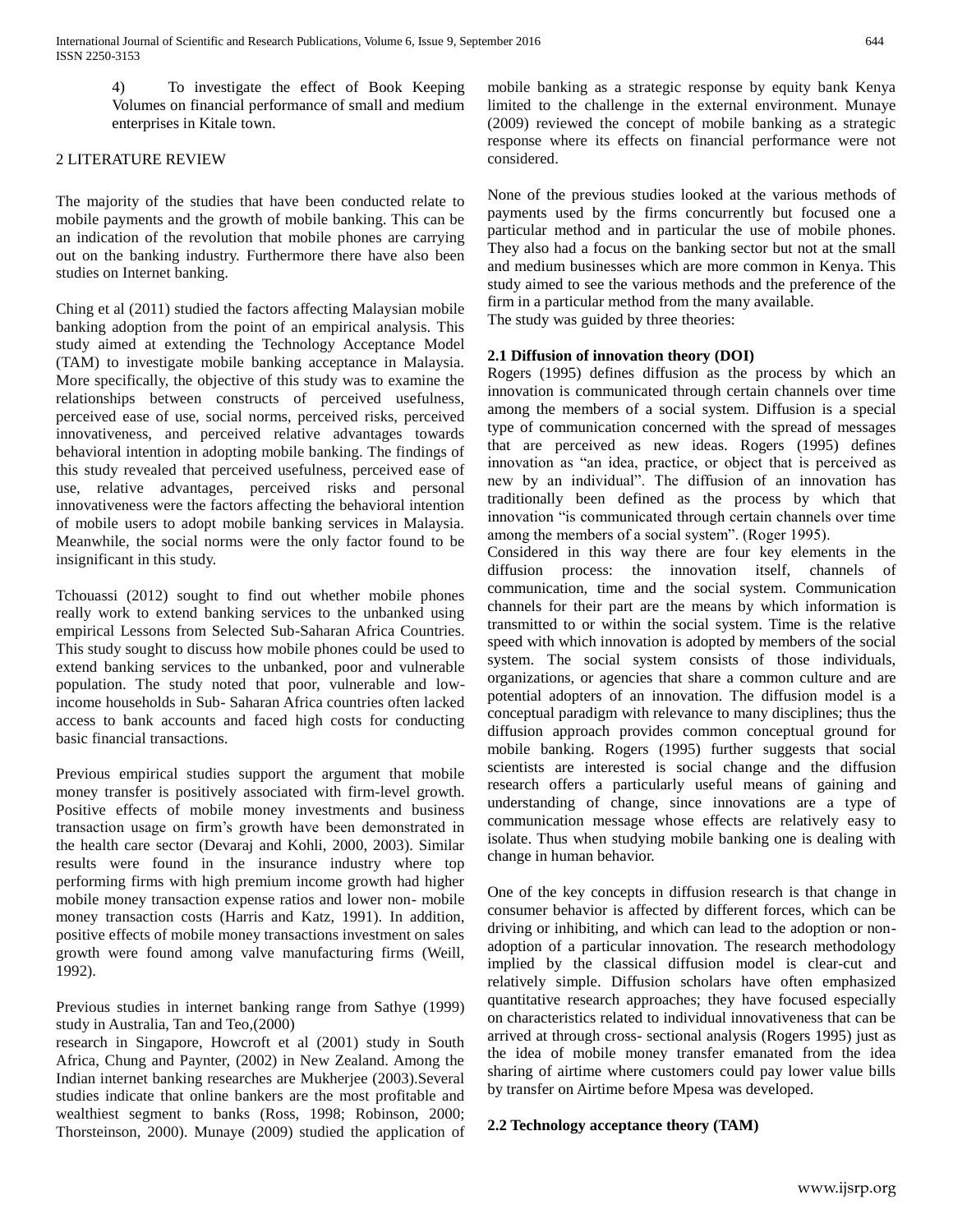4) To investigate the effect of Book Keeping Volumes on financial performance of small and medium enterprises in Kitale town.

## 2 LITERATURE REVIEW

The majority of the studies that have been conducted relate to mobile payments and the growth of mobile banking. This can be an indication of the revolution that mobile phones are carrying out on the banking industry. Furthermore there have also been studies on Internet banking.

Ching et al (2011) studied the factors affecting Malaysian mobile banking adoption from the point of an empirical analysis. This study aimed at extending the Technology Acceptance Model (TAM) to investigate mobile banking acceptance in Malaysia. More specifically, the objective of this study was to examine the relationships between constructs of perceived usefulness, perceived ease of use, social norms, perceived risks, perceived innovativeness, and perceived relative advantages towards behavioral intention in adopting mobile banking. The findings of this study revealed that perceived usefulness, perceived ease of use, relative advantages, perceived risks and personal innovativeness were the factors affecting the behavioral intention of mobile users to adopt mobile banking services in Malaysia. Meanwhile, the social norms were the only factor found to be insignificant in this study.

Tchouassi (2012) sought to find out whether mobile phones really work to extend banking services to the unbanked using empirical Lessons from Selected Sub-Saharan Africa Countries. This study sought to discuss how mobile phones could be used to extend banking services to the unbanked, poor and vulnerable population. The study noted that poor, vulnerable and lowincome households in Sub- Saharan Africa countries often lacked access to bank accounts and faced high costs for conducting basic financial transactions.

Previous empirical studies support the argument that mobile money transfer is positively associated with firm-level growth. Positive effects of mobile money investments and business transaction usage on firm's growth have been demonstrated in the health care sector (Devaraj and Kohli, 2000, 2003). Similar results were found in the insurance industry where top performing firms with high premium income growth had higher mobile money transaction expense ratios and lower non- mobile money transaction costs (Harris and Katz, 1991). In addition, positive effects of mobile money transactions investment on sales growth were found among valve manufacturing firms (Weill, 1992).

Previous studies in internet banking range from Sathye (1999) study in Australia, Tan and Teo,(2000)

research in Singapore, Howcroft et al (2001) study in South Africa, Chung and Paynter, (2002) in New Zealand. Among the Indian internet banking researches are Mukherjee (2003).Several studies indicate that online bankers are the most profitable and wealthiest segment to banks (Ross, 1998; Robinson, 2000; Thorsteinson, 2000). Munaye (2009) studied the application of mobile banking as a strategic response by equity bank Kenya limited to the challenge in the external environment. Munaye (2009) reviewed the concept of mobile banking as a strategic response where its effects on financial performance were not considered.

None of the previous studies looked at the various methods of payments used by the firms concurrently but focused one a particular method and in particular the use of mobile phones. They also had a focus on the banking sector but not at the small and medium businesses which are more common in Kenya. This study aimed to see the various methods and the preference of the firm in a particular method from the many available. The study was guided by three theories:

## **2.1 Diffusion of innovation theory (DOI)**

Rogers (1995) defines diffusion as the process by which an innovation is communicated through certain channels over time among the members of a social system. Diffusion is a special type of communication concerned with the spread of messages that are perceived as new ideas. Rogers (1995) defines innovation as "an idea, practice, or object that is perceived as new by an individual". The diffusion of an innovation has traditionally been defined as the process by which that innovation "is communicated through certain channels over time among the members of a social system". (Roger 1995).

Considered in this way there are four key elements in the diffusion process: the innovation itself, channels of communication, time and the social system. Communication channels for their part are the means by which information is transmitted to or within the social system. Time is the relative speed with which innovation is adopted by members of the social system. The social system consists of those individuals, organizations, or agencies that share a common culture and are potential adopters of an innovation. The diffusion model is a conceptual paradigm with relevance to many disciplines; thus the diffusion approach provides common conceptual ground for mobile banking. Rogers (1995) further suggests that social scientists are interested is social change and the diffusion research offers a particularly useful means of gaining and understanding of change, since innovations are a type of communication message whose effects are relatively easy to isolate. Thus when studying mobile banking one is dealing with change in human behavior.

One of the key concepts in diffusion research is that change in consumer behavior is affected by different forces, which can be driving or inhibiting, and which can lead to the adoption or nonadoption of a particular innovation. The research methodology implied by the classical diffusion model is clear-cut and relatively simple. Diffusion scholars have often emphasized quantitative research approaches; they have focused especially on characteristics related to individual innovativeness that can be arrived at through cross- sectional analysis (Rogers 1995) just as the idea of mobile money transfer emanated from the idea sharing of airtime where customers could pay lower value bills by transfer on Airtime before Mpesa was developed.

## **2.2 Technology acceptance theory (TAM)**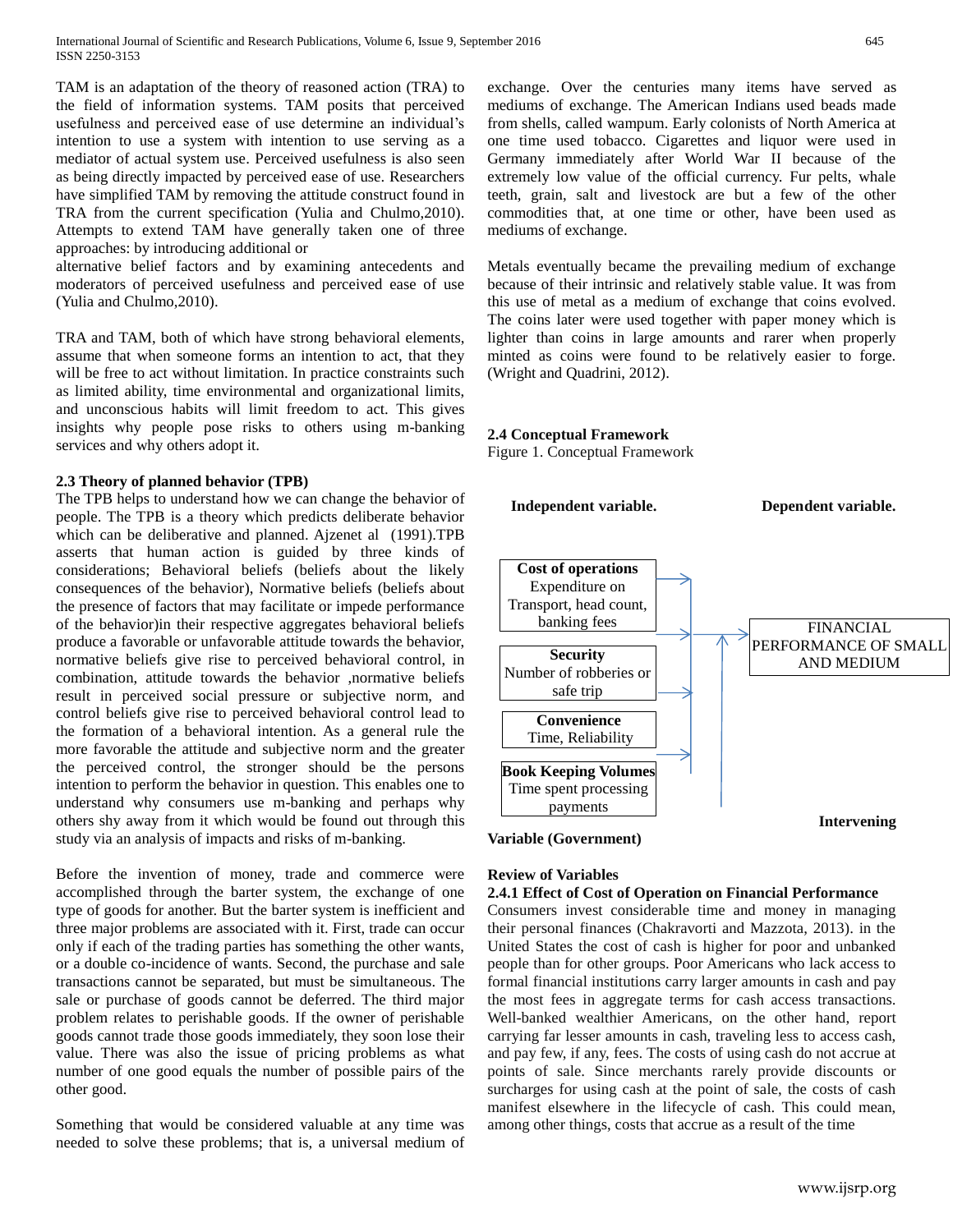TAM is an adaptation of the theory of reasoned action (TRA) to the field of information systems. TAM posits that perceived usefulness and perceived ease of use determine an individual's intention to use a system with intention to use serving as a mediator of actual system use. Perceived usefulness is also seen as being directly impacted by perceived ease of use. Researchers have simplified TAM by removing the attitude construct found in TRA from the current specification (Yulia and Chulmo,2010). Attempts to extend TAM have generally taken one of three approaches: by introducing additional or

alternative belief factors and by examining antecedents and moderators of perceived usefulness and perceived ease of use (Yulia and Chulmo,2010).

TRA and TAM, both of which have strong behavioral elements, assume that when someone forms an intention to act, that they will be free to act without limitation. In practice constraints such as limited ability, time environmental and organizational limits, and unconscious habits will limit freedom to act. This gives insights why people pose risks to others using m-banking services and why others adopt it.

#### **2.3 Theory of planned behavior (TPB)**

The TPB helps to understand how we can change the behavior of people. The TPB is a theory which predicts deliberate behavior which can be deliberative and planned. Ajzenet al (1991).TPB asserts that human action is guided by three kinds of considerations; Behavioral beliefs (beliefs about the likely consequences of the behavior), Normative beliefs (beliefs about the presence of factors that may facilitate or impede performance of the behavior)in their respective aggregates behavioral beliefs produce a favorable or unfavorable attitude towards the behavior, normative beliefs give rise to perceived behavioral control, in combination, attitude towards the behavior ,normative beliefs result in perceived social pressure or subjective norm, and control beliefs give rise to perceived behavioral control lead to the formation of a behavioral intention. As a general rule the more favorable the attitude and subjective norm and the greater the perceived control, the stronger should be the persons intention to perform the behavior in question. This enables one to understand why consumers use m-banking and perhaps why others shy away from it which would be found out through this study via an analysis of impacts and risks of m-banking.

Before the invention of money, trade and commerce were accomplished through the barter system, the exchange of one type of goods for another. But the barter system is inefficient and three major problems are associated with it. First, trade can occur only if each of the trading parties has something the other wants, or a double co-incidence of wants. Second, the purchase and sale transactions cannot be separated, but must be simultaneous. The sale or purchase of goods cannot be deferred. The third major problem relates to perishable goods. If the owner of perishable goods cannot trade those goods immediately, they soon lose their value. There was also the issue of pricing problems as what number of one good equals the number of possible pairs of the other good.

Something that would be considered valuable at any time was needed to solve these problems; that is, a universal medium of exchange. Over the centuries many items have served as mediums of exchange. The American Indians used beads made from shells, called wampum. Early colonists of North America at one time used tobacco. Cigarettes and liquor were used in Germany immediately after World War II because of the extremely low value of the official currency. Fur pelts, whale teeth, grain, salt and livestock are but a few of the other commodities that, at one time or other, have been used as mediums of exchange.

Metals eventually became the prevailing medium of exchange because of their intrinsic and relatively stable value. It was from this use of metal as a medium of exchange that coins evolved. The coins later were used together with paper money which is lighter than coins in large amounts and rarer when properly minted as coins were found to be relatively easier to forge. (Wright and Quadrini, 2012).

#### **2.4 Conceptual Framework**

Figure 1. Conceptual Framework



**Variable (Government)**

# **Review of Variables**

#### **2.4.1 Effect of Cost of Operation on Financial Performance**

Consumers invest considerable time and money in managing their personal finances (Chakravorti and Mazzota, 2013). in the United States the cost of cash is higher for poor and unbanked people than for other groups. Poor Americans who lack access to formal financial institutions carry larger amounts in cash and pay the most fees in aggregate terms for cash access transactions. Well-banked wealthier Americans, on the other hand, report carrying far lesser amounts in cash, traveling less to access cash, and pay few, if any, fees. The costs of using cash do not accrue at points of sale. Since merchants rarely provide discounts or surcharges for using cash at the point of sale, the costs of cash manifest elsewhere in the lifecycle of cash. This could mean, among other things, costs that accrue as a result of the time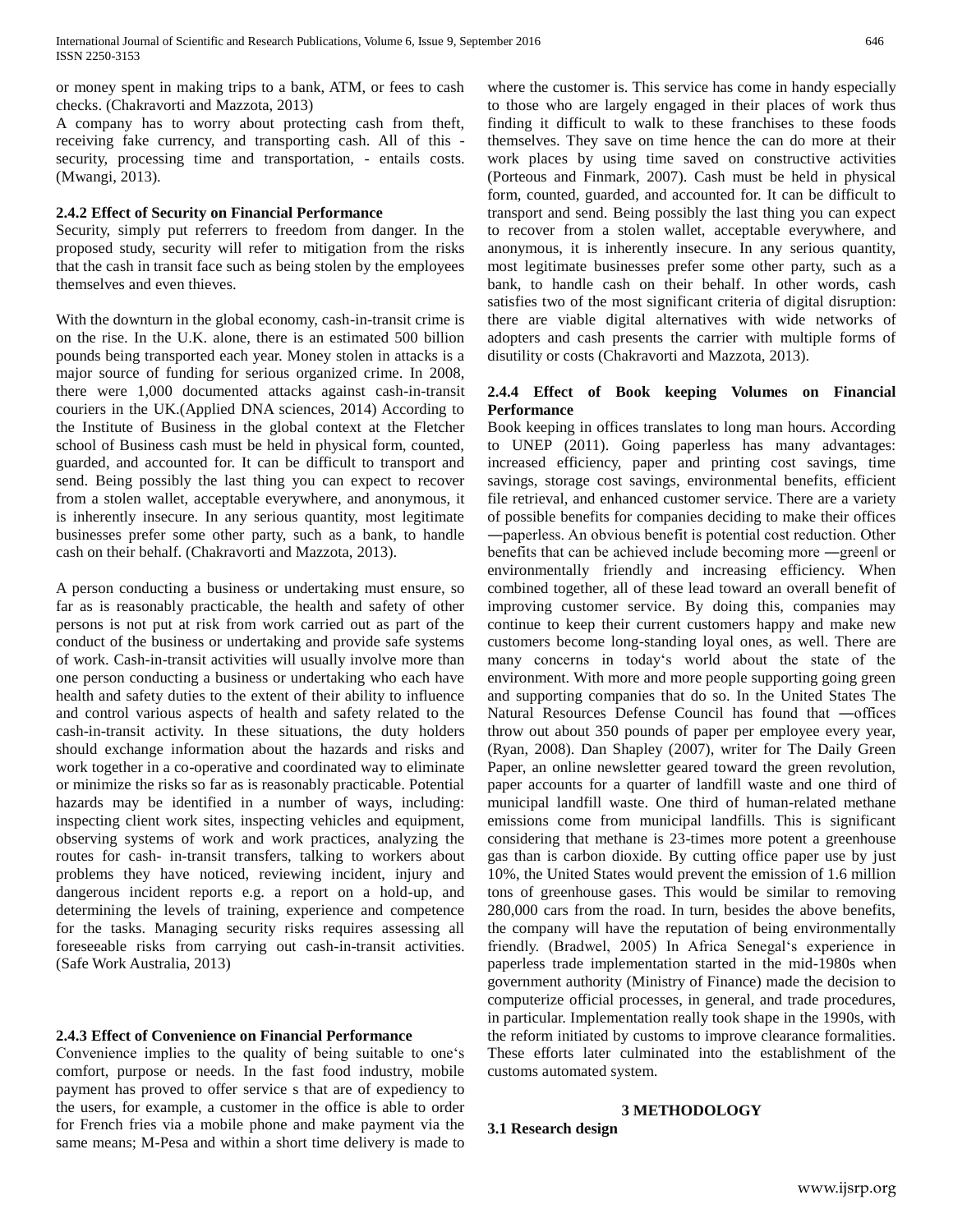or money spent in making trips to a bank, ATM, or fees to cash checks. (Chakravorti and Mazzota, 2013)

A company has to worry about protecting cash from theft, receiving fake currency, and transporting cash. All of this security, processing time and transportation, - entails costs. (Mwangi, 2013).

#### **2.4.2 Effect of Security on Financial Performance**

Security, simply put referrers to freedom from danger. In the proposed study, security will refer to mitigation from the risks that the cash in transit face such as being stolen by the employees themselves and even thieves.

With the downturn in the global economy, cash-in-transit crime is on the rise. In the U.K. alone, there is an estimated 500 billion pounds being transported each year. Money stolen in attacks is a major source of funding for serious organized crime. In 2008, there were 1,000 documented attacks against cash-in-transit couriers in the UK.(Applied DNA sciences, 2014) According to the Institute of Business in the global context at the Fletcher school of Business cash must be held in physical form, counted, guarded, and accounted for. It can be difficult to transport and send. Being possibly the last thing you can expect to recover from a stolen wallet, acceptable everywhere, and anonymous, it is inherently insecure. In any serious quantity, most legitimate businesses prefer some other party, such as a bank, to handle cash on their behalf. (Chakravorti and Mazzota, 2013).

A person conducting a business or undertaking must ensure, so far as is reasonably practicable, the health and safety of other persons is not put at risk from work carried out as part of the conduct of the business or undertaking and provide safe systems of work. Cash-in-transit activities will usually involve more than one person conducting a business or undertaking who each have health and safety duties to the extent of their ability to influence and control various aspects of health and safety related to the cash-in-transit activity. In these situations, the duty holders should exchange information about the hazards and risks and work together in a co-operative and coordinated way to eliminate or minimize the risks so far as is reasonably practicable. Potential hazards may be identified in a number of ways, including: inspecting client work sites, inspecting vehicles and equipment, observing systems of work and work practices, analyzing the routes for cash- in-transit transfers, talking to workers about problems they have noticed, reviewing incident, injury and dangerous incident reports e.g. a report on a hold-up, and determining the levels of training, experience and competence for the tasks. Managing security risks requires assessing all foreseeable risks from carrying out cash-in-transit activities. (Safe Work Australia, 2013)

#### **2.4.3 Effect of Convenience on Financial Performance**

Convenience implies to the quality of being suitable to one's comfort, purpose or needs. In the fast food industry, mobile payment has proved to offer service s that are of expediency to the users, for example, a customer in the office is able to order for French fries via a mobile phone and make payment via the same means; M-Pesa and within a short time delivery is made to

where the customer is. This service has come in handy especially to those who are largely engaged in their places of work thus finding it difficult to walk to these franchises to these foods themselves. They save on time hence the can do more at their work places by using time saved on constructive activities (Porteous and Finmark, 2007). Cash must be held in physical form, counted, guarded, and accounted for. It can be difficult to transport and send. Being possibly the last thing you can expect to recover from a stolen wallet, acceptable everywhere, and anonymous, it is inherently insecure. In any serious quantity, most legitimate businesses prefer some other party, such as a bank, to handle cash on their behalf. In other words, cash satisfies two of the most significant criteria of digital disruption: there are viable digital alternatives with wide networks of adopters and cash presents the carrier with multiple forms of disutility or costs (Chakravorti and Mazzota, 2013).

## **2.4.4 Effect of Book keeping Volumes on Financial Performance**

Book keeping in offices translates to long man hours. According to UNEP (2011). Going paperless has many advantages: increased efficiency, paper and printing cost savings, time savings, storage cost savings, environmental benefits, efficient file retrieval, and enhanced customer service. There are a variety of possible benefits for companies deciding to make their offices ―paperless. An obvious benefit is potential cost reduction. Other benefits that can be achieved include becoming more ―green‖ or environmentally friendly and increasing efficiency. When combined together, all of these lead toward an overall benefit of improving customer service. By doing this, companies may continue to keep their current customers happy and make new customers become long-standing loyal ones, as well. There are many concerns in today's world about the state of the environment. With more and more people supporting going green and supporting companies that do so. In the United States The Natural Resources Defense Council has found that ―offices throw out about 350 pounds of paper per employee every year, (Ryan, 2008). Dan Shapley (2007), writer for The Daily Green Paper, an online newsletter geared toward the green revolution, paper accounts for a quarter of landfill waste and one third of municipal landfill waste. One third of human-related methane emissions come from municipal landfills. This is significant considering that methane is 23-times more potent a greenhouse gas than is carbon dioxide. By cutting office paper use by just 10%, the United States would prevent the emission of 1.6 million tons of greenhouse gases. This would be similar to removing 280,000 cars from the road. In turn, besides the above benefits, the company will have the reputation of being environmentally friendly. (Bradwel, 2005) In Africa Senegal's experience in paperless trade implementation started in the mid-1980s when government authority (Ministry of Finance) made the decision to computerize official processes, in general, and trade procedures, in particular. Implementation really took shape in the 1990s, with the reform initiated by customs to improve clearance formalities. These efforts later culminated into the establishment of the customs automated system.

#### **3 METHODOLOGY**

**3.1 Research design**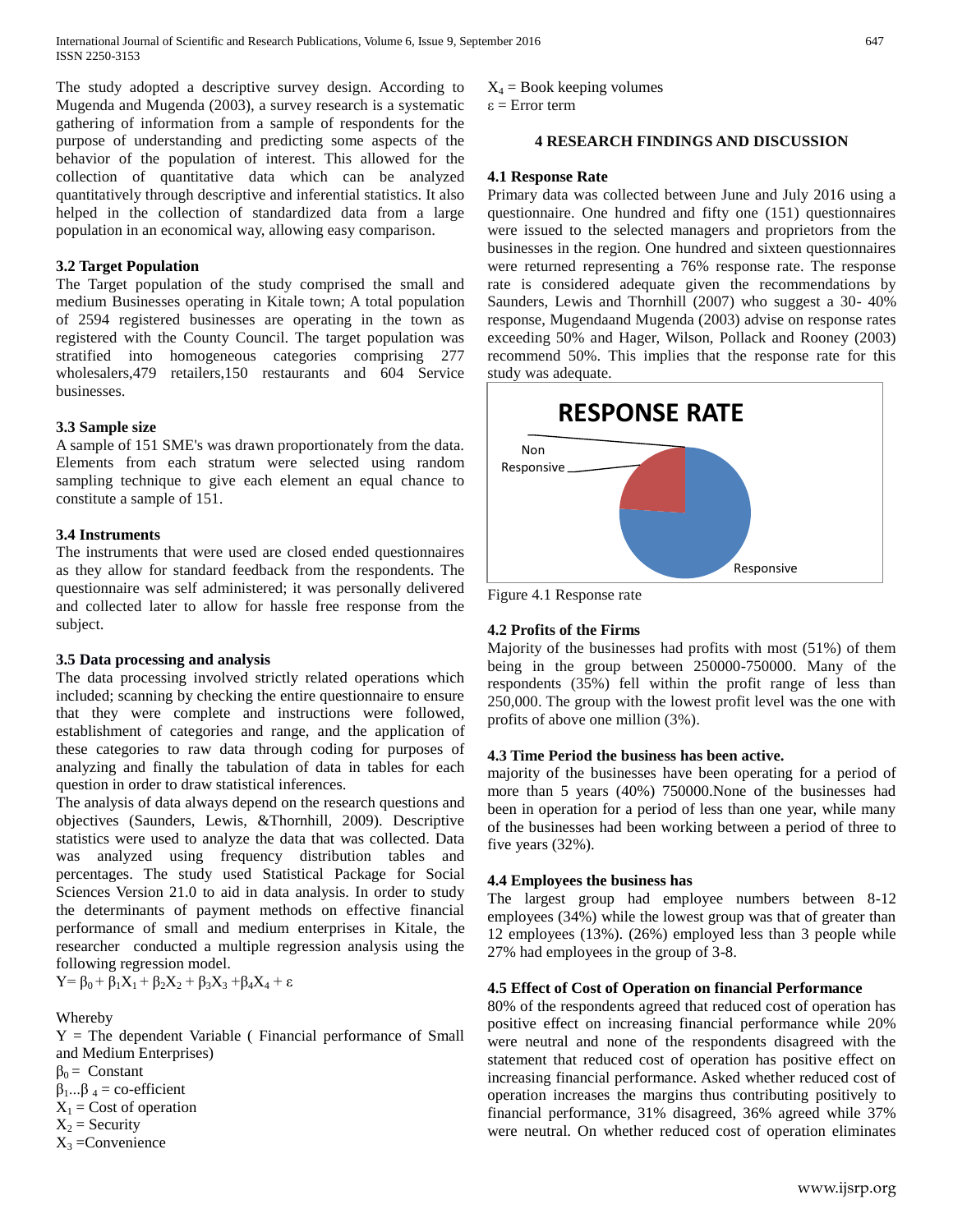The study adopted a descriptive survey design. According to Mugenda and Mugenda (2003), a survey research is a systematic gathering of information from a sample of respondents for the purpose of understanding and predicting some aspects of the behavior of the population of interest. This allowed for the collection of quantitative data which can be analyzed quantitatively through descriptive and inferential statistics. It also helped in the collection of standardized data from a large population in an economical way, allowing easy comparison.

#### **3.2 Target Population**

The Target population of the study comprised the small and medium Businesses operating in Kitale town; A total population of 2594 registered businesses are operating in the town as registered with the County Council. The target population was stratified into homogeneous categories comprising 277 wholesalers,479 retailers,150 restaurants and 604 Service businesses.

## **3.3 Sample size**

A sample of 151 SME's was drawn proportionately from the data. Elements from each stratum were selected using random sampling technique to give each element an equal chance to constitute a sample of 151.

## **3.4 Instruments**

The instruments that were used are closed ended questionnaires as they allow for standard feedback from the respondents. The questionnaire was self administered; it was personally delivered and collected later to allow for hassle free response from the subject.

#### **3.5 Data processing and analysis**

The data processing involved strictly related operations which included; scanning by checking the entire questionnaire to ensure that they were complete and instructions were followed, establishment of categories and range, and the application of these categories to raw data through coding for purposes of analyzing and finally the tabulation of data in tables for each question in order to draw statistical inferences.

The analysis of data always depend on the research questions and objectives (Saunders, Lewis, &Thornhill, 2009). Descriptive statistics were used to analyze the data that was collected. Data was analyzed using frequency distribution tables and percentages. The study used Statistical Package for Social Sciences Version 21.0 to aid in data analysis. In order to study the determinants of payment methods on effective financial performance of small and medium enterprises in Kitale, the researcher conducted a multiple regression analysis using the following regression model.

Y= β<sub>0</sub> + β<sub>1</sub>X<sub>1</sub> + β<sub>2</sub>X<sub>2</sub> + β<sub>3</sub>X<sub>3</sub> + β<sub>4</sub>X<sub>4</sub> + ε

Whereby

 $Y =$  The dependent Variable (Financial performance of Small and Medium Enterprises)

 $β<sub>0</sub> = Constant$ 

 $β<sub>1</sub>...β<sub>4</sub> = co-efficient$ 

 $X_1$  = Cost of operation

 $X_2$  = Security

 $X_3$  = Convenience

 $X_4$  = Book keeping volumes ε = Error term

#### **4 RESEARCH FINDINGS AND DISCUSSION**

#### **4.1 Response Rate**

Primary data was collected between June and July 2016 using a questionnaire. One hundred and fifty one (151) questionnaires were issued to the selected managers and proprietors from the businesses in the region. One hundred and sixteen questionnaires were returned representing a 76% response rate. The response rate is considered adequate given the recommendations by Saunders, Lewis and Thornhill (2007) who suggest a 30- 40% response, Mugendaand Mugenda (2003) advise on response rates exceeding 50% and Hager, Wilson, Pollack and Rooney (2003) recommend 50%. This implies that the response rate for this study was adequate.



Figure 4.1 Response rate

## **4.2 Profits of the Firms**

Majority of the businesses had profits with most (51%) of them being in the group between 250000-750000. Many of the respondents (35%) fell within the profit range of less than 250,000. The group with the lowest profit level was the one with profits of above one million (3%).

#### **4.3 Time Period the business has been active.**

majority of the businesses have been operating for a period of more than 5 years (40%) 750000.None of the businesses had been in operation for a period of less than one year, while many of the businesses had been working between a period of three to five years (32%).

## **4.4 Employees the business has**

The largest group had employee numbers between 8-12 employees (34%) while the lowest group was that of greater than 12 employees (13%). (26%) employed less than 3 people while 27% had employees in the group of 3-8.

## **4.5 Effect of Cost of Operation on financial Performance**

80% of the respondents agreed that reduced cost of operation has positive effect on increasing financial performance while 20% were neutral and none of the respondents disagreed with the statement that reduced cost of operation has positive effect on increasing financial performance. Asked whether reduced cost of operation increases the margins thus contributing positively to financial performance, 31% disagreed, 36% agreed while 37% were neutral. On whether reduced cost of operation eliminates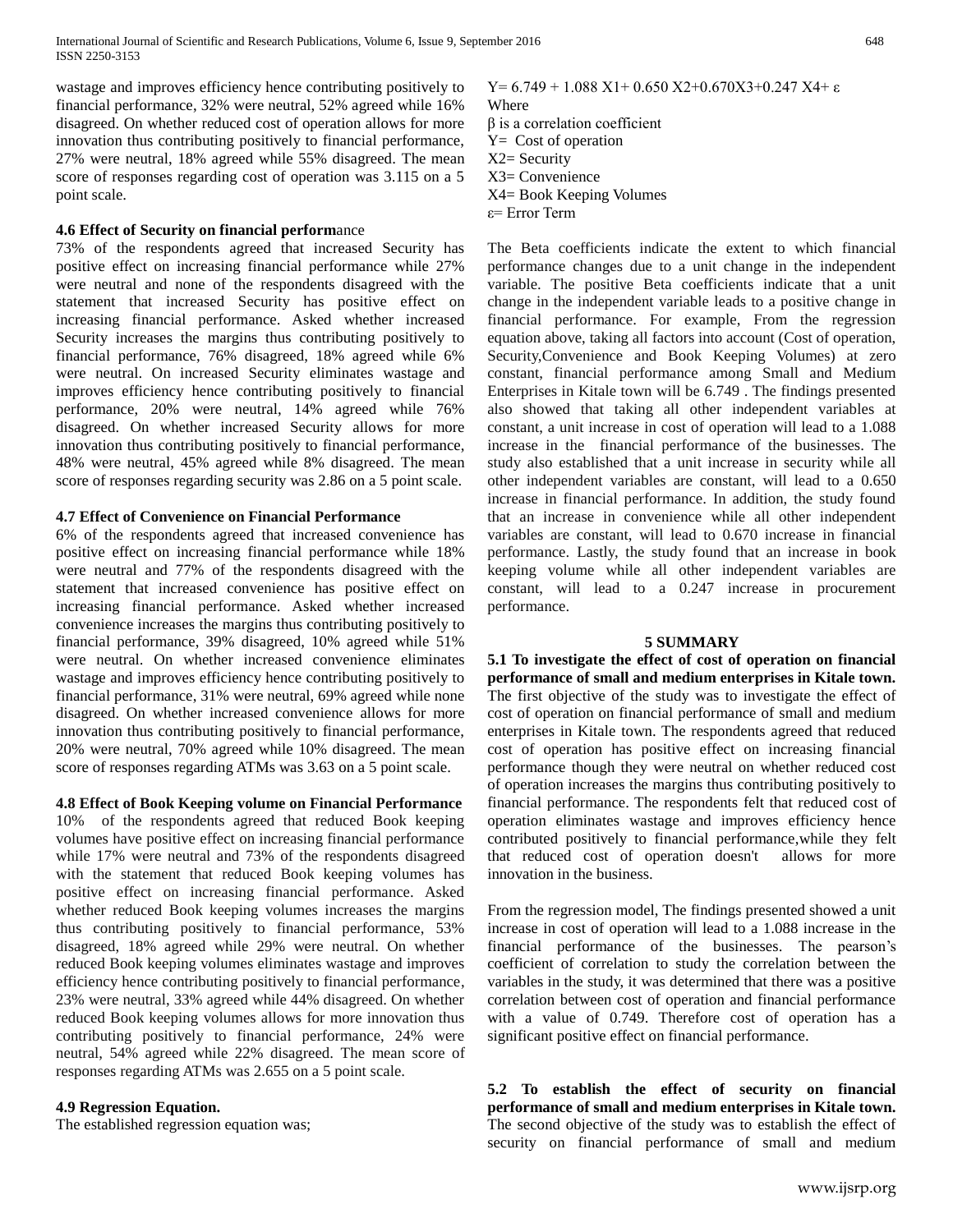wastage and improves efficiency hence contributing positively to financial performance, 32% were neutral, 52% agreed while 16% disagreed. On whether reduced cost of operation allows for more innovation thus contributing positively to financial performance, 27% were neutral, 18% agreed while 55% disagreed. The mean score of responses regarding cost of operation was 3.115 on a 5 point scale.

## **4.6 Effect of Security on financial perform**ance

73% of the respondents agreed that increased Security has positive effect on increasing financial performance while 27% were neutral and none of the respondents disagreed with the statement that increased Security has positive effect on increasing financial performance. Asked whether increased Security increases the margins thus contributing positively to financial performance, 76% disagreed, 18% agreed while 6% were neutral. On increased Security eliminates wastage and improves efficiency hence contributing positively to financial performance, 20% were neutral, 14% agreed while 76% disagreed. On whether increased Security allows for more innovation thus contributing positively to financial performance, 48% were neutral, 45% agreed while 8% disagreed. The mean score of responses regarding security was 2.86 on a 5 point scale.

#### **4.7 Effect of Convenience on Financial Performance**

6% of the respondents agreed that increased convenience has positive effect on increasing financial performance while 18% were neutral and 77% of the respondents disagreed with the statement that increased convenience has positive effect on increasing financial performance. Asked whether increased convenience increases the margins thus contributing positively to financial performance, 39% disagreed, 10% agreed while 51% were neutral. On whether increased convenience eliminates wastage and improves efficiency hence contributing positively to financial performance, 31% were neutral, 69% agreed while none disagreed. On whether increased convenience allows for more innovation thus contributing positively to financial performance, 20% were neutral, 70% agreed while 10% disagreed. The mean score of responses regarding ATMs was 3.63 on a 5 point scale.

#### **4.8 Effect of Book Keeping volume on Financial Performance**

10% of the respondents agreed that reduced Book keeping volumes have positive effect on increasing financial performance while 17% were neutral and 73% of the respondents disagreed with the statement that reduced Book keeping volumes has positive effect on increasing financial performance. Asked whether reduced Book keeping volumes increases the margins thus contributing positively to financial performance, 53% disagreed, 18% agreed while 29% were neutral. On whether reduced Book keeping volumes eliminates wastage and improves efficiency hence contributing positively to financial performance, 23% were neutral, 33% agreed while 44% disagreed. On whether reduced Book keeping volumes allows for more innovation thus contributing positively to financial performance, 24% were neutral, 54% agreed while 22% disagreed. The mean score of responses regarding ATMs was 2.655 on a 5 point scale.

#### **4.9 Regression Equation.**

The established regression equation was;

X4= Book Keeping Volumes

ε= Error Term

The Beta coefficients indicate the extent to which financial performance changes due to a unit change in the independent variable. The positive Beta coefficients indicate that a unit change in the independent variable leads to a positive change in financial performance. For example, From the regression equation above, taking all factors into account (Cost of operation, Security,Convenience and Book Keeping Volumes) at zero constant, financial performance among Small and Medium Enterprises in Kitale town will be 6.749 . The findings presented also showed that taking all other independent variables at constant, a unit increase in cost of operation will lead to a 1.088 increase in the financial performance of the businesses. The study also established that a unit increase in security while all other independent variables are constant, will lead to a 0.650 increase in financial performance. In addition, the study found that an increase in convenience while all other independent variables are constant, will lead to 0.670 increase in financial performance. Lastly, the study found that an increase in book keeping volume while all other independent variables are constant, will lead to a 0.247 increase in procurement performance.

#### **5 SUMMARY**

**5.1 To investigate the effect of cost of operation on financial performance of small and medium enterprises in Kitale town.** The first objective of the study was to investigate the effect of cost of operation on financial performance of small and medium enterprises in Kitale town. The respondents agreed that reduced cost of operation has positive effect on increasing financial performance though they were neutral on whether reduced cost of operation increases the margins thus contributing positively to financial performance. The respondents felt that reduced cost of operation eliminates wastage and improves efficiency hence contributed positively to financial performance,while they felt that reduced cost of operation doesn't allows for more innovation in the business.

From the regression model, The findings presented showed a unit increase in cost of operation will lead to a 1.088 increase in the financial performance of the businesses. The pearson's coefficient of correlation to study the correlation between the variables in the study, it was determined that there was a positive correlation between cost of operation and financial performance with a value of 0.749. Therefore cost of operation has a significant positive effect on financial performance.

**5.2 To establish the effect of security on financial performance of small and medium enterprises in Kitale town.** The second objective of the study was to establish the effect of security on financial performance of small and medium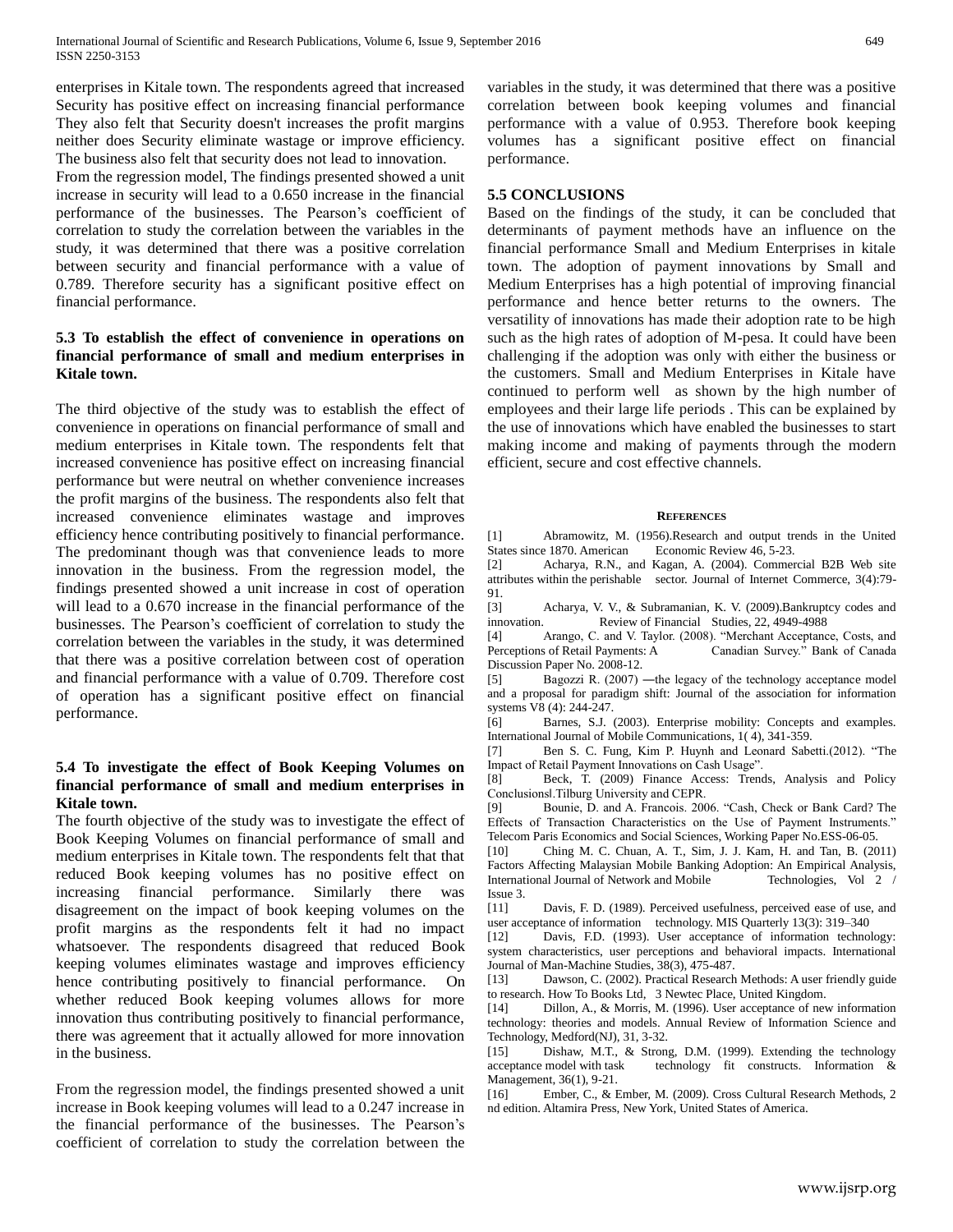enterprises in Kitale town. The respondents agreed that increased Security has positive effect on increasing financial performance They also felt that Security doesn't increases the profit margins neither does Security eliminate wastage or improve efficiency. The business also felt that security does not lead to innovation.

From the regression model, The findings presented showed a unit increase in security will lead to a 0.650 increase in the financial performance of the businesses. The Pearson's coefficient of correlation to study the correlation between the variables in the study, it was determined that there was a positive correlation between security and financial performance with a value of 0.789. Therefore security has a significant positive effect on financial performance.

## **5.3 To establish the effect of convenience in operations on financial performance of small and medium enterprises in Kitale town.**

The third objective of the study was to establish the effect of convenience in operations on financial performance of small and medium enterprises in Kitale town. The respondents felt that increased convenience has positive effect on increasing financial performance but were neutral on whether convenience increases the profit margins of the business. The respondents also felt that increased convenience eliminates wastage and improves efficiency hence contributing positively to financial performance. The predominant though was that convenience leads to more innovation in the business. From the regression model, the findings presented showed a unit increase in cost of operation will lead to a 0.670 increase in the financial performance of the businesses. The Pearson's coefficient of correlation to study the correlation between the variables in the study, it was determined that there was a positive correlation between cost of operation and financial performance with a value of 0.709. Therefore cost of operation has a significant positive effect on financial performance.

## **5.4 To investigate the effect of Book Keeping Volumes on financial performance of small and medium enterprises in Kitale town.**

The fourth objective of the study was to investigate the effect of Book Keeping Volumes on financial performance of small and medium enterprises in Kitale town. The respondents felt that that reduced Book keeping volumes has no positive effect on increasing financial performance. Similarly there was disagreement on the impact of book keeping volumes on the profit margins as the respondents felt it had no impact whatsoever. The respondents disagreed that reduced Book keeping volumes eliminates wastage and improves efficiency hence contributing positively to financial performance. On whether reduced Book keeping volumes allows for more innovation thus contributing positively to financial performance, there was agreement that it actually allowed for more innovation in the business.

From the regression model, the findings presented showed a unit increase in Book keeping volumes will lead to a 0.247 increase in the financial performance of the businesses. The Pearson's coefficient of correlation to study the correlation between the variables in the study, it was determined that there was a positive correlation between book keeping volumes and financial performance with a value of 0.953. Therefore book keeping volumes has a significant positive effect on financial performance.

## **5.5 CONCLUSIONS**

Based on the findings of the study, it can be concluded that determinants of payment methods have an influence on the financial performance Small and Medium Enterprises in kitale town. The adoption of payment innovations by Small and Medium Enterprises has a high potential of improving financial performance and hence better returns to the owners. The versatility of innovations has made their adoption rate to be high such as the high rates of adoption of M-pesa. It could have been challenging if the adoption was only with either the business or the customers. Small and Medium Enterprises in Kitale have continued to perform well as shown by the high number of employees and their large life periods . This can be explained by the use of innovations which have enabled the businesses to start making income and making of payments through the modern efficient, secure and cost effective channels.

#### **REFERENCES**

[1] Abramowitz, M. (1956).Research and output trends in the United States since 1870. American Economic Review 46, 5-23.

[2] Acharya, R.N., and Kagan, A. (2004). Commercial B2B Web site attributes within the perishable sector. Journal of Internet Commerce, 3(4):79- 91.

[3] Acharya, V. V., & Subramanian, K. V. (2009).Bankruptcy codes and innovation. Review of Financial Studies, 22, 4949-4988

[4] Arango, C. and V. Taylor. (2008). "Merchant Acceptance, Costs, and Perceptions of Retail Payments: A Canadian Survey." Bank of Canada Discussion Paper No. 2008-12.

[5] Bagozzi R. (2007) — the legacy of the technology acceptance model and a proposal for paradigm shift: Journal of the association for information systems V8 (4): 244-247.

[6] Barnes, S.J. (2003). Enterprise mobility: Concepts and examples. International Journal of Mobile Communications, 1( 4), 341-359.

[7] Ben S. C. Fung, Kim P. Huynh and Leonard Sabetti.(2012). "The Impact of Retail Payment Innovations on Cash Usage".

[8] Beck, T. (2009) Finance Access: Trends, Analysis and Policy Conclusions‖.Tilburg University and CEPR.

[9] Bounie, D. and A. Francois. 2006. "Cash, Check or Bank Card? The Effects of Transaction Characteristics on the Use of Payment Instruments." Telecom Paris Economics and Social Sciences, Working Paper No.ESS-06-05.

[10] Ching M. C. Chuan, A. T., Sim, J. J. Kam, H. and Tan, B. (2011) Factors Affecting Malaysian Mobile Banking Adoption: An Empirical Analysis, International Journal of Network and Mobile Technologies, Vol 2 / Issue 3.

[11] Davis, F. D. (1989). Perceived usefulness, perceived ease of use, and user acceptance of information technology. MIS Quarterly 13(3): 319–340

[12] Davis, F.D. (1993). User acceptance of information technology: system characteristics, user perceptions and behavioral impacts. International Journal of Man-Machine Studies, 38(3), 475-487.

[13] Dawson, C. (2002). Practical Research Methods: A user friendly guide to research. How To Books Ltd, 3 Newtec Place, United Kingdom.

[14] Dillon, A., & Morris, M. (1996). User acceptance of new information technology: theories and models. Annual Review of Information Science and Technology, Medford(NJ), 31, 3-32.

[15] Dishaw, M.T., & Strong, D.M. (1999). Extending the technology acceptance model with task technology fit constructs. Information & Management, 36(1), 9-21.

[16] Ember, C., & Ember, M. (2009). Cross Cultural Research Methods, 2 nd edition. Altamira Press, New York, United States of America.